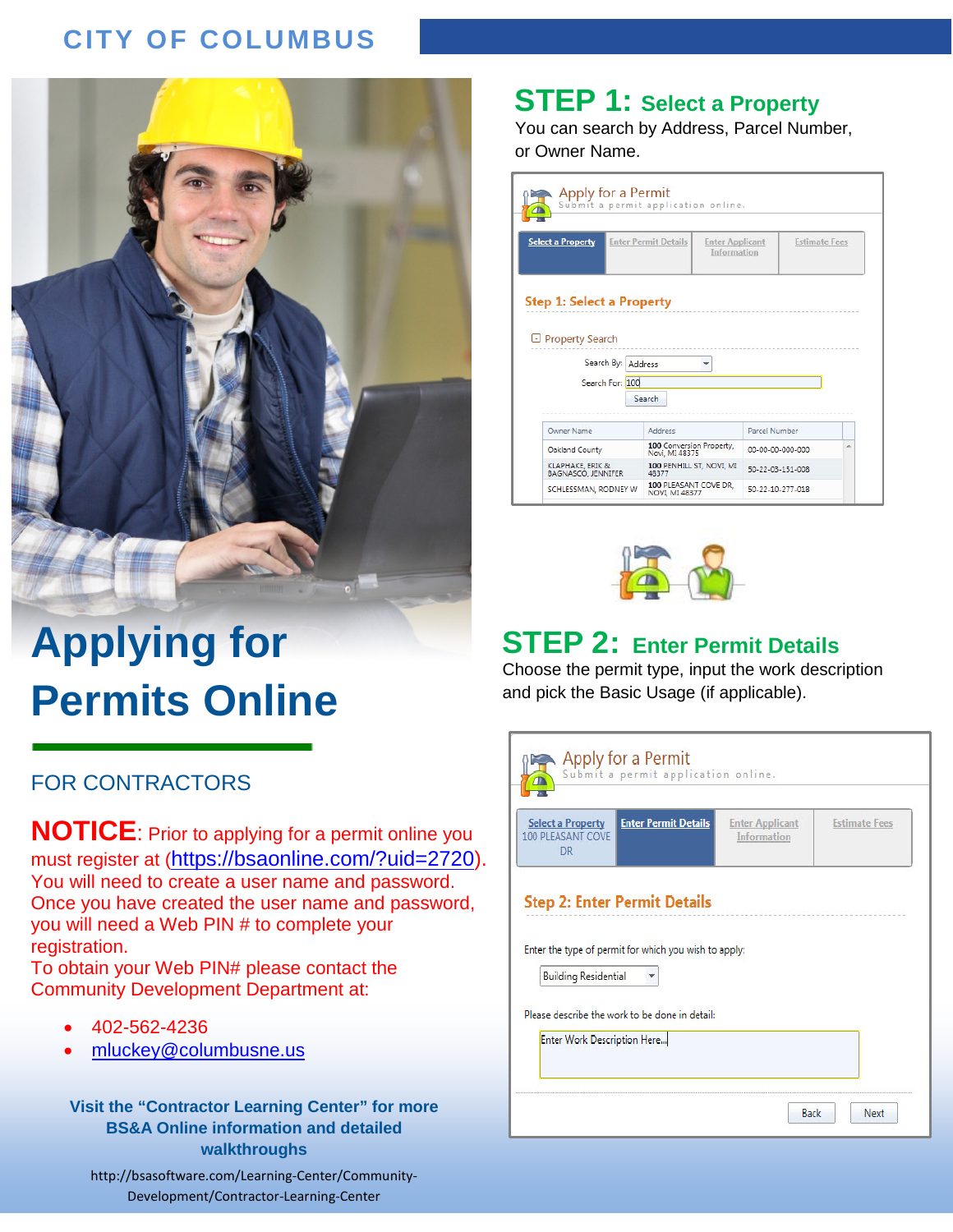# **CITY OF COLUMBUS Applying for Permit Online FOR CONTRACTORS**



# **Applying for Permits Online**

#### FOR CONTRACTORS

**NOTICE**: Prior to applying for a permit online you must register at [\(https://bsaonline.com/?uid=2720\)](https://bsaonline.com/?uid=2720). You will need to create a user name and password. Once you have created the user name and password, you will need a Web PIN # to complete your registration.

To obtain your Web PIN# please contact the Community Development Department at:

- 402-562-4236
- [mluckey@columbusne.us](mailto:mluckey@columbusne.us)

**Visit the "Contractor Learning Center" for more BS&A Online information and detailed walkthroughs**

http://bsasoftware.com/Learning-Center/Community-Development/Contractor-Learning-Center

#### **STEP 1: Select a Property**

You can search by Address, Parcel Number, or Owner Name.

| Apply for a Permit<br>Submit a permit application online.           |                                            |                                       |                  |                      |
|---------------------------------------------------------------------|--------------------------------------------|---------------------------------------|------------------|----------------------|
| <b>Select a Property</b>                                            | <b>Enter Permit Details</b>                | <b>Enter Applicant</b><br>Information |                  | <b>Estimate Fees</b> |
| <b>Step 1: Select a Property</b><br>□ Property Search<br>Search By: | Address                                    |                                       |                  |                      |
| Search For: 100                                                     | Search                                     |                                       |                  |                      |
| <b>Owner Name</b>                                                   | Address                                    |                                       | Parcel Number    |                      |
| Oakland County                                                      | 100 Conversion Property,<br>Novi, MI 48375 |                                       | 00-00-00-000-000 | ▲                    |
| KLAPHAKE, ERIK &<br>BAGNASCO, JENNIFER                              | 100 PENHILL ST, NOVI, MI<br>48377          |                                       | 50-22-03-151-008 |                      |
| SCHLESSMAN, RODNEY W                                                | 100 PLEASANT COVE DR.<br>NOVI, MI 48377    |                                       | 50-22-10-277-018 |                      |



## **STEP 2: Enter Permit Details**

Choose the permit type, input the work description and pick the Basic Usage (if applicable).

| <b>Select a Property</b><br><b>100 PLEASANT COVE</b><br><b>DR</b> | <b>Enter Permit Details</b>                           | <b>Enter Applicant</b><br><b>Information</b> | <b>Estimate Fees</b> |
|-------------------------------------------------------------------|-------------------------------------------------------|----------------------------------------------|----------------------|
|                                                                   |                                                       |                                              |                      |
|                                                                   | <b>Step 2: Enter Permit Details</b>                   |                                              |                      |
|                                                                   | Enter the type of permit for which you wish to apply: |                                              |                      |
|                                                                   |                                                       |                                              |                      |
| <b>Building Residential</b>                                       | Please describe the work to be done in detail:        |                                              |                      |